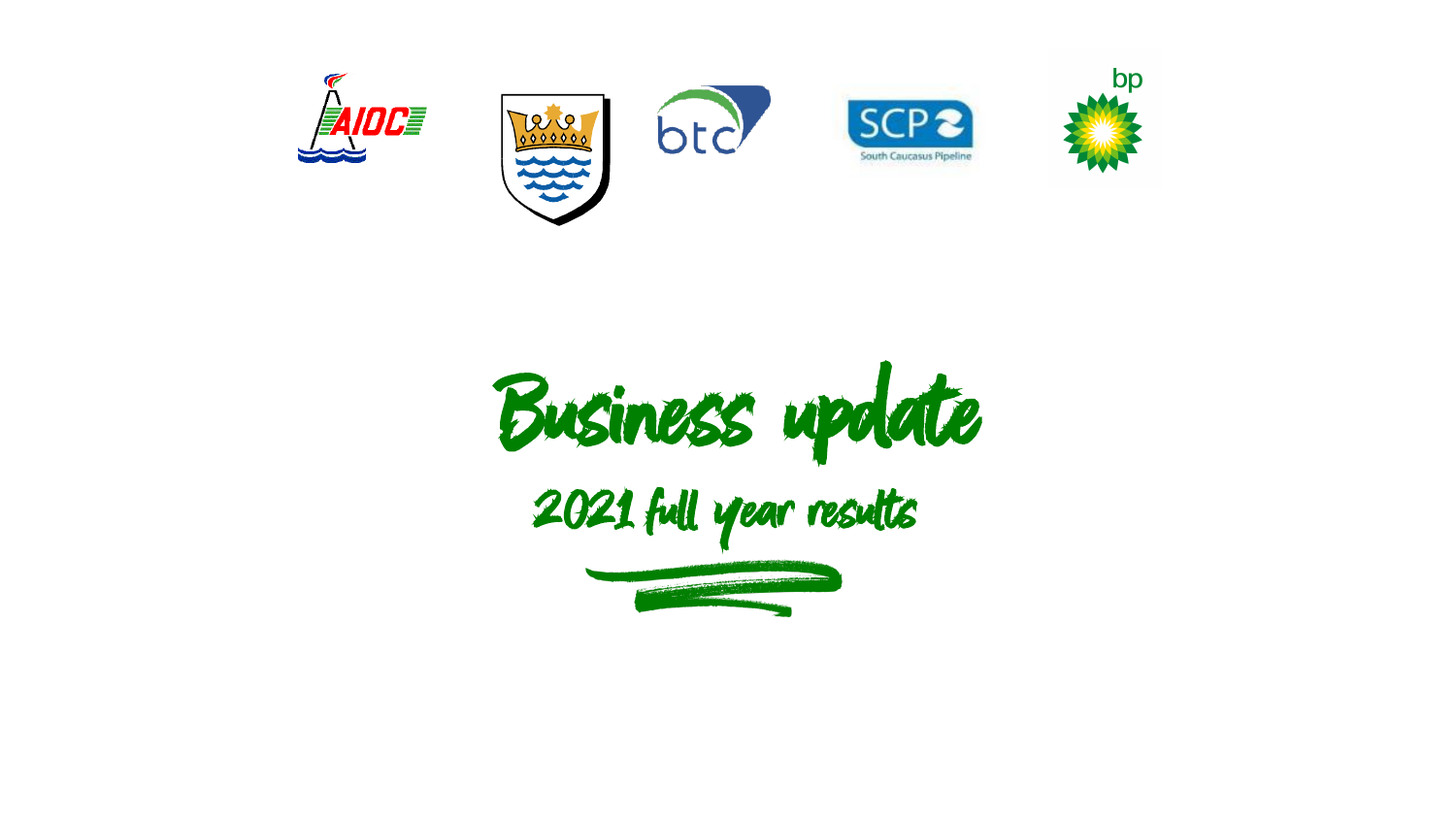

Business update 2021 full year results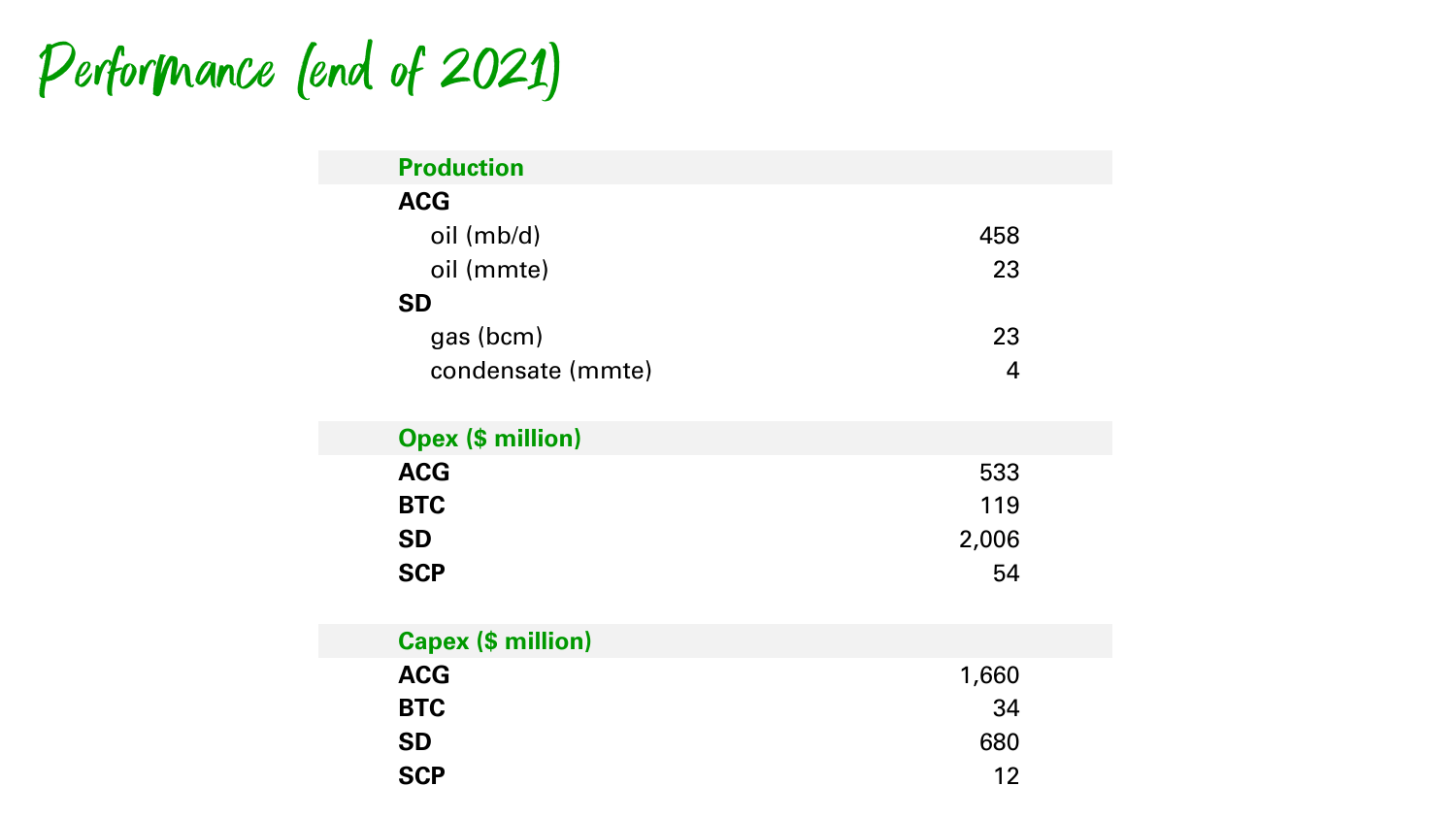## Performance (end of 2021)

| <b>Production</b> |     |
|-------------------|-----|
| <b>ACG</b>        |     |
| oil (mb/d)        | 458 |
| oil (mmte)        | 23  |
| <b>SD</b>         |     |
| gas (bcm)         | 23  |
| condensate (mmte) |     |
|                   |     |

| <b>Opex (\$ million)</b> |       |
|--------------------------|-------|
| <b>ACG</b>               | 533   |
| <b>BTC</b>               | 119   |
| <b>SD</b>                | 2,006 |
| <b>SCP</b>               | 54    |

| <b>Capex (\$ million)</b> |       |
|---------------------------|-------|
| <b>ACG</b>                | 1,660 |
| <b>BTC</b>                | 34    |
| <b>SD</b>                 | 680   |
| <b>SCP</b>                | 12    |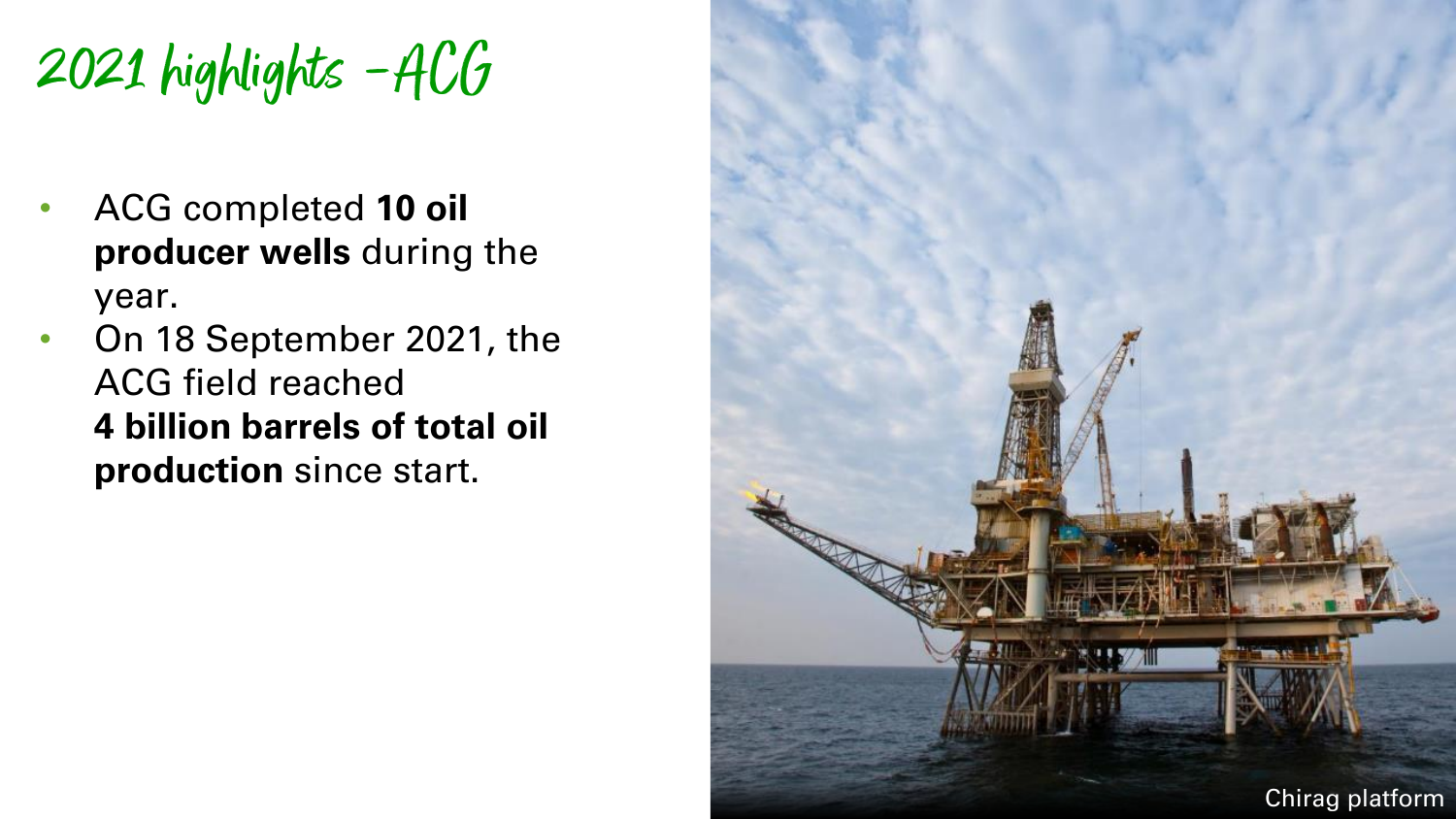2021 highlights –ACG

- ACG completed **10 oil producer wells** during the year.
- On 18 September 2021, the ACG field reached **4 billion barrels of total oil production** since start.

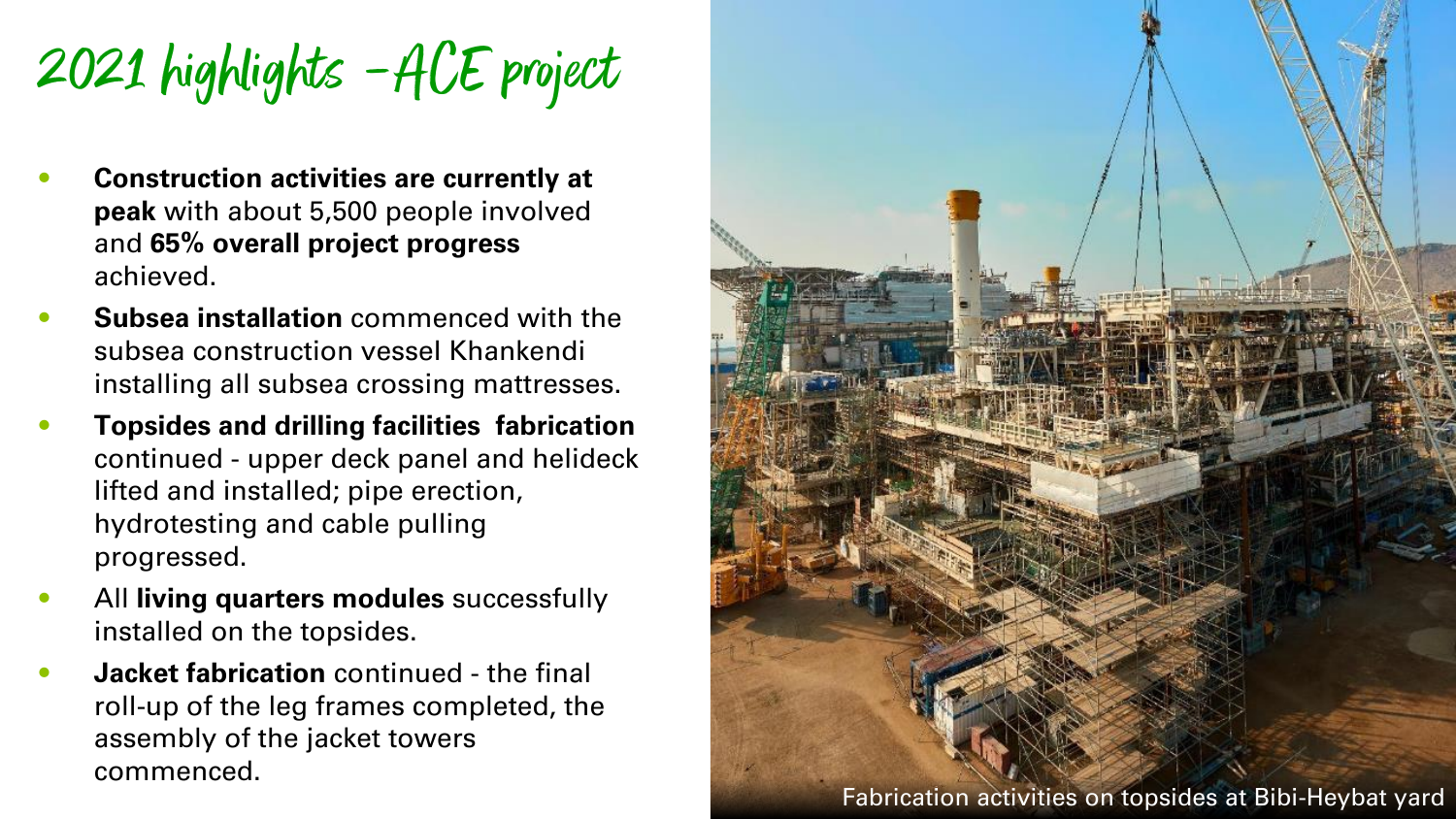2021 highlights –ACE project

- **Construction activities are currently at peak** with about 5,500 people involved and **65% overall project progress**  achieved.
- **Subsea installation** commenced with the subsea construction vessel Khankendi installing all subsea crossing mattresses.
- **Topsides and drilling facilities fabrication**  continued - upper deck panel and helideck lifted and installed; pipe erection, hydrotesting and cable pulling progressed.
- All **living quarters modules** successfully installed on the topsides.
- **Jacket fabrication** continued the final roll-up of the leg frames completed, the assembly of the jacket towers commenced.

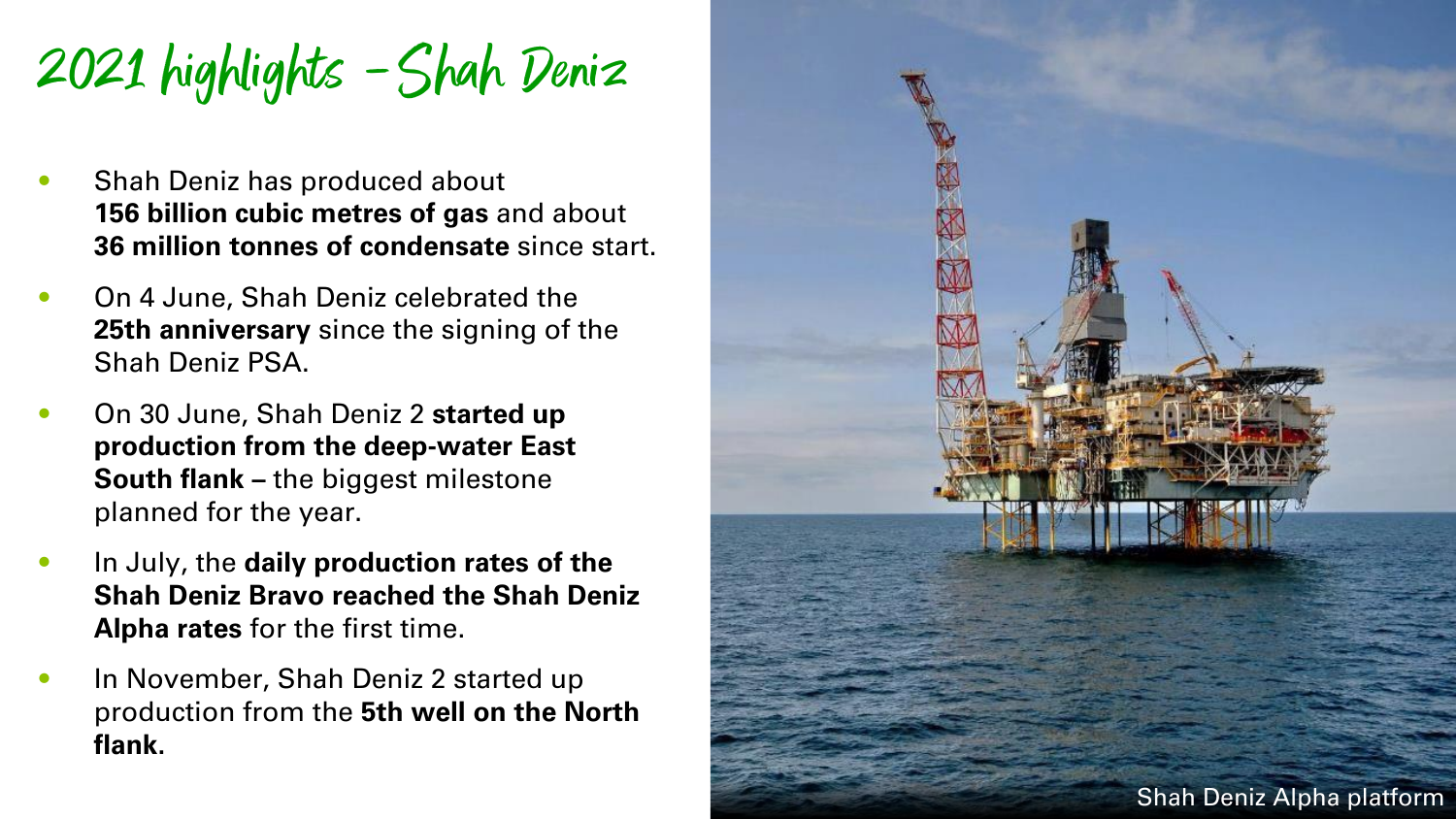2021 highlights –Shah Deniz

- Shah Deniz has produced about **156 billion cubic metres of gas** and about **36 million tonnes of condensate** since start.
- On 4 June, Shah Deniz celebrated the **25th anniversary** since the signing of the Shah Deniz PSA.
- On 30 June, Shah Deniz 2 **started up production from the deep-water East South flank –** the biggest milestone planned for the year.
- In July, the **daily production rates of the Shah Deniz Bravo reached the Shah Deniz Alpha rates** for the first time.
- In November, Shah Deniz 2 started up production from the **5th well on the North flank.**

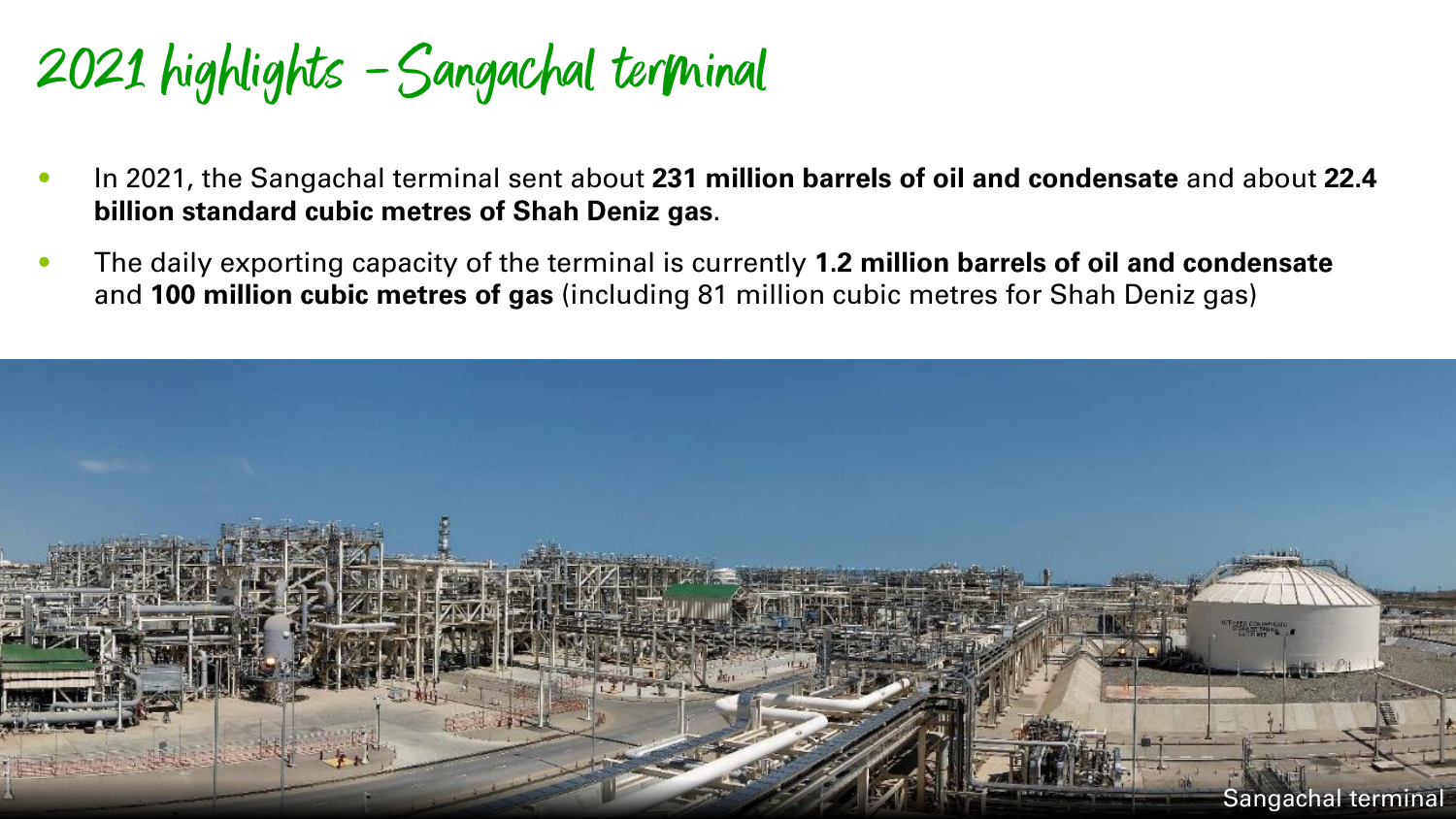2021 highlights –Sangachal terminal

- In 2021, the Sangachal terminal sent about **231 million barrels of oil and condensate** and about **22.4 billion standard cubic metres of Shah Deniz gas**.
- The daily exporting capacity of the terminal is currently **1.2 million barrels of oil and condensate**  and **100 million cubic metres of gas** (including 81 million cubic metres for Shah Deniz gas)

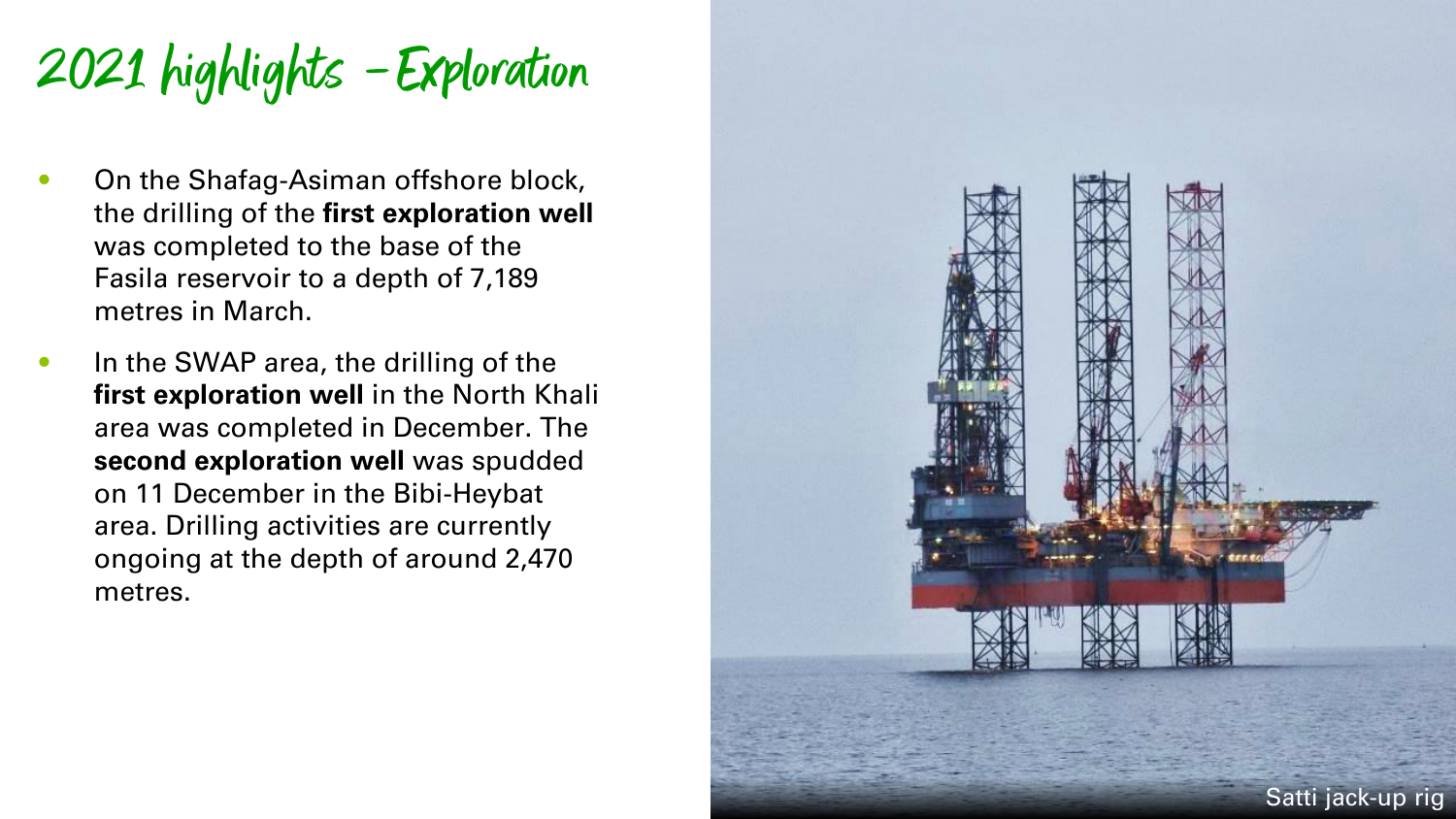# 2021 highlights –Exploration

- **On the Shafag-Asiman offshore block,** the drilling of the **first exploration well** was completed to the base of the Fasila reservoir to a depth of 7,189 metres in March.
- In the SWAP area, the drilling of the first exploration well in the North Khali area was completed in December. The **second exploration well** was spudded on 11 December in the Bibi -Heybat area. Drilling activities are currently ongoing at the depth of around 2,470 metres .

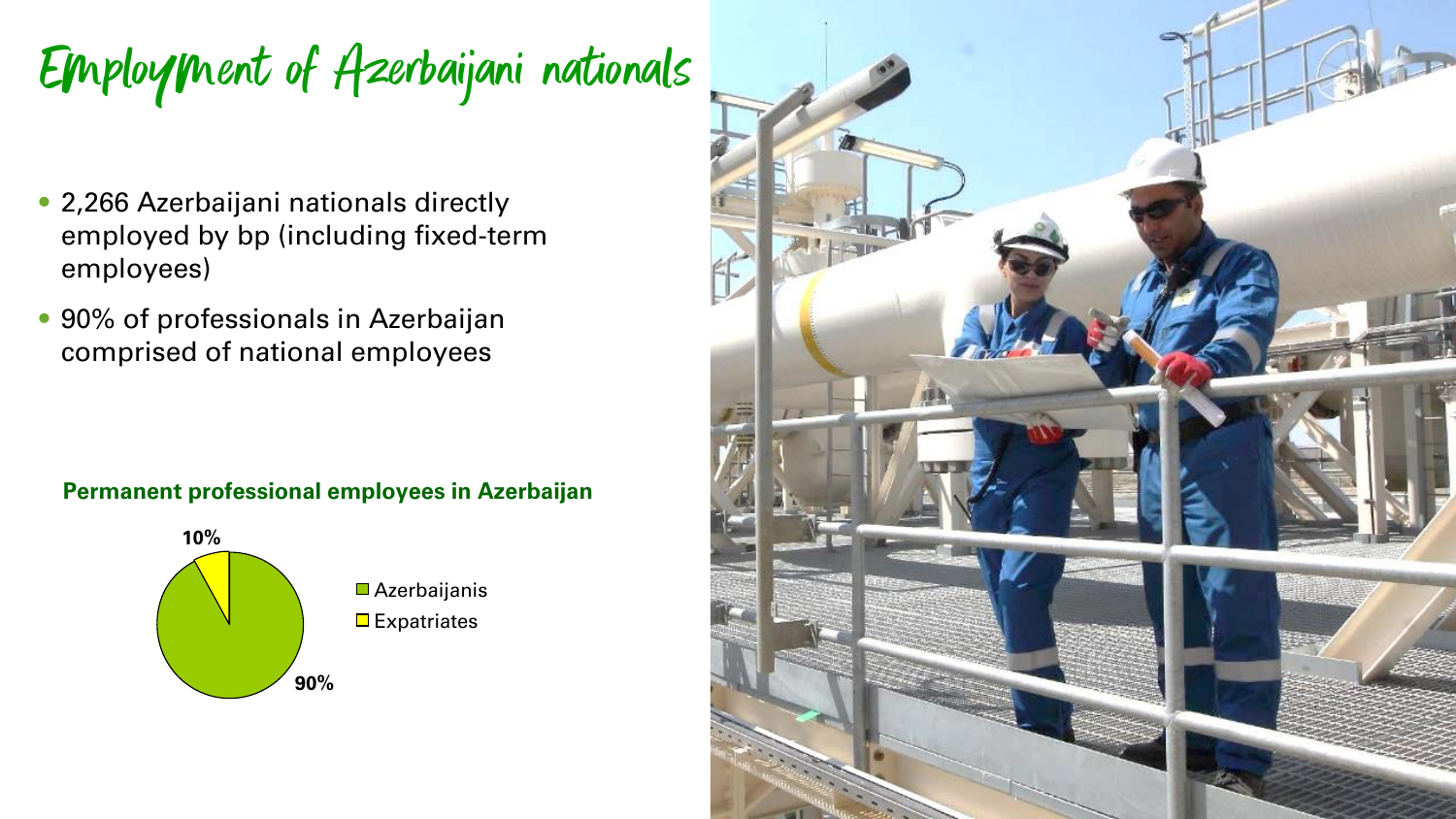Employment of Azerbaijani nationals

- 2,266 Azerbaijani nationals directly employed by bp (including fixed-term employees)
- 90% of professionals in Azerbaijan comprised of national employees

#### **Permanent professional employees in Azerbaijan**



■ Azerbaijanis  $\blacksquare$  Expatriates

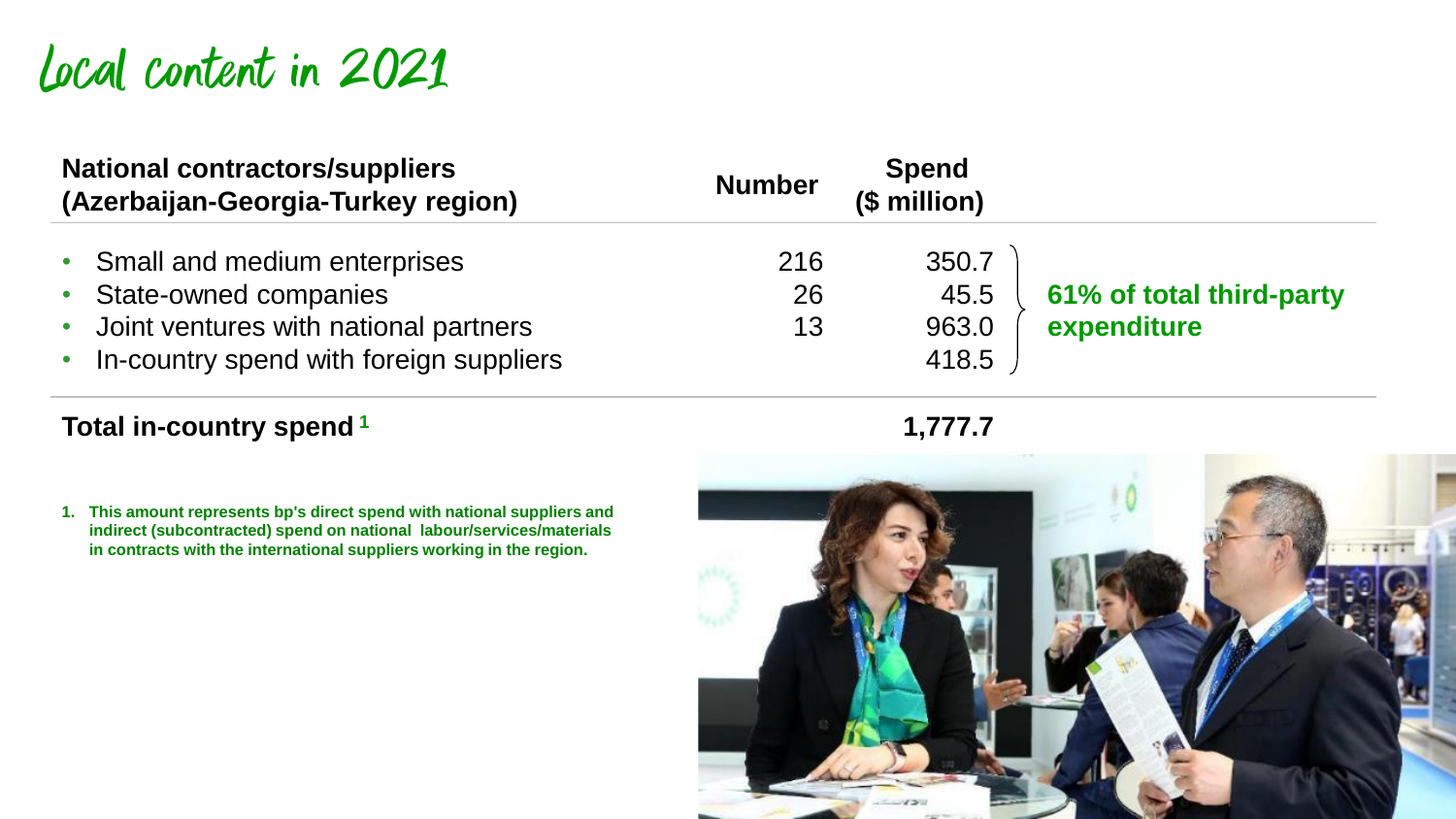## Local content in 2021

| <b>National contractors/suppliers</b><br>(Azerbaijan-Georgia-Turkey region)          | <b>Number</b> | <b>Spend</b><br>(\$ million) |                          |
|--------------------------------------------------------------------------------------|---------------|------------------------------|--------------------------|
| • Small and medium enterprises<br>• State-owned companies                            | 216<br>26     | 350.7<br>45.5                | 61% of total third-party |
| • Joint ventures with national partners<br>• In-country spend with foreign suppliers | 13            | 963.0<br>418.5               | expenditure              |

### **Total in-country spend<sup>1</sup> 1,777.7**

**1. This amount represents bp's direct spend with national suppliers and indirect (subcontracted) spend on national labour/services/materials in contracts with the international suppliers working in the region.**